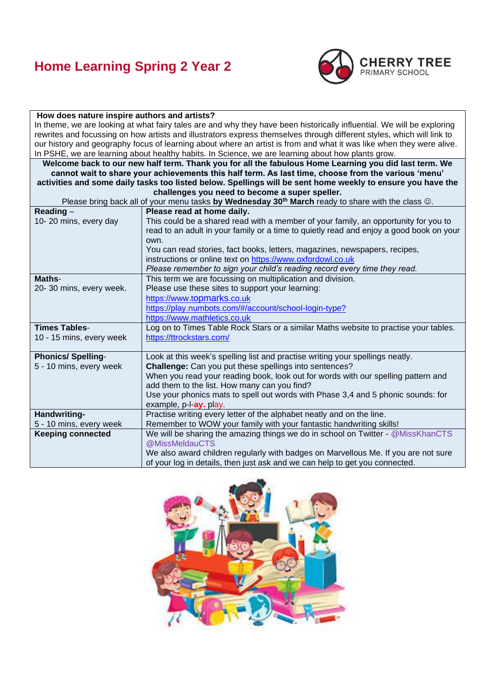

#### **How does nature inspire authors and artists?** In theme, we are looking at what fairy tales are and why they have been historically influential. We will be exploring rewrites and focussing on how artists and illustrators express themselves through different styles, which will link to our history and geography focus of learning about where an artist is from and what it was like when they were alive. In PSHE, we are learning about healthy habits. In Science, we are learning about how plants grow. **Welcome back to our new half term. Thank you for all the fabulous Home Learning you did last term. We cannot wait to share your achievements this half term. As last time, choose from the various 'menu' activities and some daily tasks too listed below. Spellings will be sent home weekly to ensure you have the challenges you need to become a super speller.** Please bring back all of your menu tasks **by Wednesday 30th March** ready to share with the class ☺. **Reading** – 10- 20 mins, every day **Please read at home daily.**  This could be a shared read with a member of your family, an opportunity for you to read to an adult in your family or a time to quietly read and enjoy a good book on your own. You can read stories, fact books, letters, magazines, newspapers, recipes, instructions or online text on [https://www.oxfordowl.co.uk](https://www.oxfordowl.co.uk/) *Please remember to sign your child's reading record every time they read.* **Maths**-20- 30 mins, every week. This term we are focussing on multiplication and division. Please use these sites to support your learning: [https://www.t](https://www.topmarks.co.uk/)opmarks.co.uk [https://play.numbots.com/#/account/school-login-type?](https://play.numbots.com/#/account/school-login-type) [https://www.mathletics.co.uk](https://www.mathletics.co.uk/) **Times Tables**-10 - 15 mins, every week Log on to Times Table Rock Stars or a similar Maths website to practise your tables. <https://ttrockstars.com/> **Phonics/ Spelling**-5 - 10 mins, every week Look at this week's spelling list and practise writing your spellings neatly. **Challenge:** Can you put these spellings into sentences? When you read your reading book, look out for words with our spelling pattern and add them to the list. How many can you find? Use your phonics mats to spell out words with Phase 3,4 and 5 phonic sounds: for example, p-l-**ay.** play. **Handwriting-**5 - 10 mins, every week Practise writing every letter of the alphabet neatly and on the line. Remember to WOW your family with your fantastic handwriting skills! **Keeping connected** We will be sharing the amazing things we do in school on Twitter - @MissKhanCTS @MissMeldauCTS We also award children regularly with badges on Marvellous Me. If you are not sure of your log in details, then just ask and we can help to get you connected.

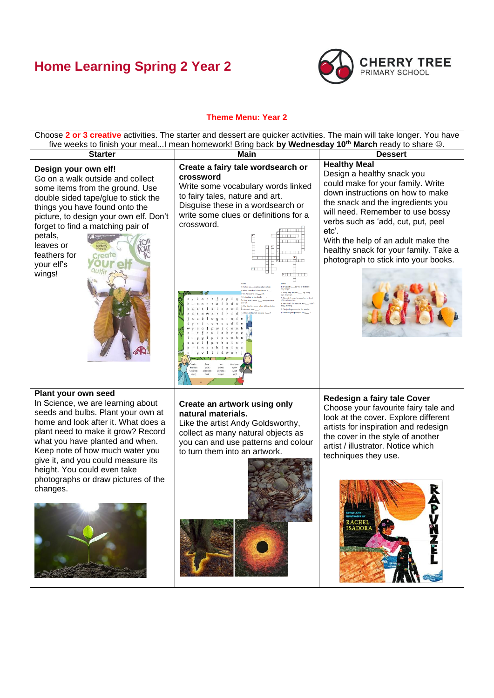

### **Theme Menu: Year 2**

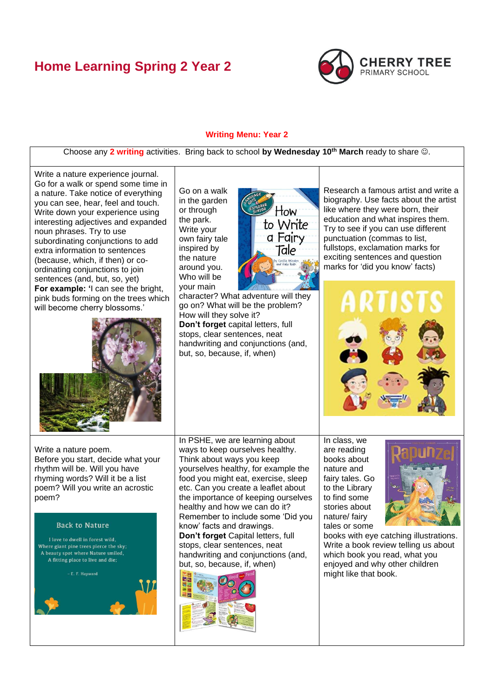

#### **Writing Menu: Year 2**

Choose any **2 writing** activities. Bring back to school **by Wednesday 10th March** ready to share ☺.

Write a nature experience journal. Go for a walk or spend some time in a nature. Take notice of everything you can see, hear, feel and touch. Write down your experience using interesting adjectives and expanded noun phrases. Try to use subordinating conjunctions to add extra information to sentences (because, which, if then) or coordinating conjunctions to join sentences (and, but, so, yet) **For example: '**I can see the bright, pink buds forming on the trees which will become cherry blossoms.'



or through the park. Write your own fairy tale inspired by the nature around you. Who will be your main

Go on a walk in the garden



character? What adventure will they go on? What will be the problem? How will they solve it? **Don't forget** capital letters, full stops, clear sentences, neat handwriting and conjunctions (and, but, so, because, if, when)

Research a famous artist and write a biography. Use facts about the artist like where they were born, their education and what inspires them. Try to see if you can use different punctuation (commas to list, fullstops, exclamation marks for exciting sentences and question marks for 'did you know' facts)



Write a nature poem. Before you start, decide what your rhythm will be. Will you have rhyming words? Will it be a list poem? Will you write an acrostic poem?

#### **Back to Nature**

I love to dwell in forest wild, Where giant pine trees pierce the sky; A beauty spot where Nature smiled, A fitting place to live and die;

E. F. Havward



In PSHE, we are learning about ways to keep ourselves healthy. Think about ways you keep yourselves healthy, for example the food you might eat, exercise, sleep etc. Can you create a leaflet about the importance of keeping ourselves healthy and how we can do it? Remember to include some 'Did you know' facts and drawings. **Don't forget** Capital letters, full stops, clear sentences, neat

handwriting and conjunctions (and, but, so, because, if, when)



In class, we are reading books about nature and fairy tales. Go to the Library to find some stories about nature/ fairy tales or some



books with eye catching illustrations. Write a book review telling us about which book you read, what you enjoyed and why other children might like that book.